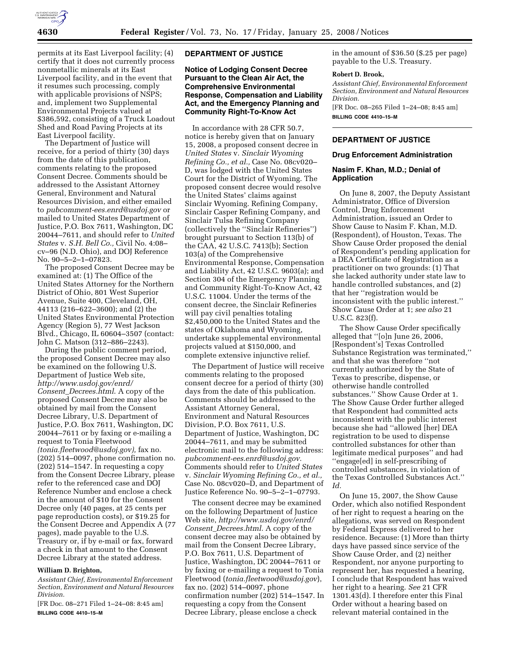

permits at its East Liverpool facility; (4) certify that it does not currently process nonmetallic minerals at its East Liverpool facility, and in the event that it resumes such processing, comply with applicable provisions of NSPS; and, implement two Supplemental Environmental Projects valued at \$386,592, consisting of a Truck Loadout Shed and Road Paving Projects at its East Liverpool facility.

The Department of Justice will receive, for a period of thirty (30) days from the date of this publication, comments relating to the proposed Consent Decree. Comments should be addressed to the Assistant Attorney General, Environment and Natural Resources Division, and either emailed to *pubcomment-ees.enrd@usdoj.gov* or mailed to United States Department of Justice, P.O. Box 7611, Washington, DC 20044–7611, and should refer to *United States* v. *S.H. Bell Co.,* Civil No. 4:08– cv–96 (N.D. Ohio), and DOJ Reference No. 90–5–2–1–07823.

The proposed Consent Decree may be examined at: (1) The Office of the United States Attorney for the Northern District of Ohio, 801 West Superior Avenue, Suite 400, Cleveland, OH, 44113 (216–622–3600); and (2) the United States Environmental Protection Agency (Region 5), 77 West Jackson Blvd., Chicago, IL 60604–3507 (contact: John C. Matson (312–886–2243).

During the public comment period, the proposed Consent Decree may also be examined on the following U.S. Department of Justice Web site, *http://www.usdoj.gov/enrd/ Consent*\_*Decrees.html*. A copy of the proposed Consent Decree may also be obtained by mail from the Consent Decree Library, U.S. Department of Justice, P.O. Box 7611, Washington, DC 20044–7611 or by faxing or e-mailing a request to Tonia Fleetwood *(tonia.fleetwood@usdoj.gov),* fax no. (202) 514–0097, phone confirmation no. (202) 514–1547. In requesting a copy from the Consent Decree Library, please refer to the referenced case and DOJ Reference Number and enclose a check in the amount of \$10 for the Consent Decree only (40 pages, at 25 cents per page reproduction costs), or \$19.25 for the Consent Decree and Appendix A (77 pages), made payable to the U.S. Treasury or, if by e-mail or fax, forward a check in that amount to the Consent Decree Library at the stated address.

## **William D. Brighton,**

*Assistant Chief, Environmental Enforcement Section, Environment and Natural Resources Division.* 

[FR Doc. 08–271 Filed 1–24–08: 8:45 am] **BILLING CODE 4410–15–M** 

### **DEPARTMENT OF JUSTICE**

# **Notice of Lodging Consent Decree Pursuant to the Clean Air Act, the Comprehensive Environmental Response, Compensation and Liability Act, and the Emergency Planning and Community Right-To-Know Act**

In accordance with 28 CFR 50.7, notice is hereby given that on January 15, 2008, a proposed consent decree in *United States* v. *Sinclair Wyoming Refining Co., et al.,* Case No. 08cv020– D, was lodged with the United States Court for the District of Wyoming. The proposed consent decree would resolve the United States' claims against Sinclair Wyoming. Refining Company, Sinclair Casper Refining Company, and Sinclair Tulsa Refining Company (collectively the ''Sinclair Refineries'') brought pursuant to Section 113(b) of the CAA, 42 U.S.C. 7413(b); Section 103(a) of the Comprehensive Environmental Response, Compensation and Liability Act, 42 U.S.C. 9603(a); and Section 304 of the Emergency Planning and Community Right-To-Know Act, 42 U.S.C. 11004. Under the terms of the consent decree, the Sinclair Refineries will pay civil penalties totaling \$2,450,000 to the United States and the states of Oklahoma and Wyoming, undertake supplemental environmental projects valued at \$150,000, and complete extensive injunctive relief.

The Department of Justice will receive comments relating to the proposed consent decree for a period of thirty (30) days from the date of this publication. Comments should be addressed to the Assistant Attorney General, Environment and Natural Resources Division, P.O. Box 7611, U.S. Department of Justice, Washington, DC 20044–7611, and may be submitted electronic mail to the following address: *pubcomment-ees.enrd@usdoj.gov.*  Comments should refer to *United States*  v. *Sinclair Wyoming Refining Co., et al.,*  Case No. 08cv020–D, and Department of Justice Reference No. 90–5–2–1–07793.

The consent decree may be examined on the following Department of Justice Web site, *http://www.usdoj.gov/enrd/ Consent*\_*Decrees.html.* A copy of the consent decree may also be obtained by mail from the Consent Decree Library, P.O. Box 7611, U.S. Department of Justice, Washington, DC 20044–7611 or by faxing or e-mailing a request to Tonia Fleetwood (*tonia.fleetwood@usdoj.gov*), fax no. (202) 514–0097, phone confirmation number (202) 514–1547. In requesting a copy from the Consent Decree Library, please enclose a check

in the amount of \$36.50 (\$.25 per page) payable to the U.S. Treasury.

#### **Robert D. Brook,**

*Assistant Chief, Environmental Enforcement Section, Environment and Natural Resources Division.* 

[FR Doc. 08–265 Filed 1–24–08; 8:45 am] **BILLING CODE 4410–15–M** 

#### **DEPARTMENT OF JUSTICE**

#### **Drug Enforcement Administration**

## **Nasim F. Khan, M.D.; Denial of Application**

On June 8, 2007, the Deputy Assistant Administrator, Office of Diversion Control, Drug Enforcement Administration, issued an Order to Show Cause to Nasim F. Khan, M.D. (Respondent), of Houston, Texas. The Show Cause Order proposed the denial of Respondent's pending application for a DEA Certificate of Registration as a practitioner on two grounds: (1) That she lacked authority under state law to handle controlled substances, and (2) that her ''registration would be inconsistent with the public interest.'' Show Cause Order at 1; *see also* 21 U.S.C. 823(f).

The Show Cause Order specifically alleged that ''[o]n June 26, 2006, [Respondent's] Texas Controlled Substance Registration was terminated,'' and that she was therefore ''not currently authorized by the State of Texas to prescribe, dispense, or otherwise handle controlled substances.'' Show Cause Order at 1. The Show Cause Order further alleged that Respondent had committed acts inconsistent with the public interest because she had ''allowed [her] DEA registration to be used to dispense controlled substances for other than legitimate medical purposes'' and had ''engage[ed] in self-prescribing of controlled substances, in violation of the Texas Controlled Substances Act.'' *Id.* 

On June 15, 2007, the Show Cause Order, which also notified Respondent of her right to request a hearing on the allegations, was served on Respondent by Federal Express delivered to her residence. Because: (1) More than thirty days have passed since service of the Show Cause Order, and (2) neither Respondent, nor anyone purporting to represent her, has requested a hearing, I conclude that Respondent has waived her right to a hearing. *See* 21 CFR 1301.43(d). I therefore enter this Final Order without a hearing based on relevant material contained in the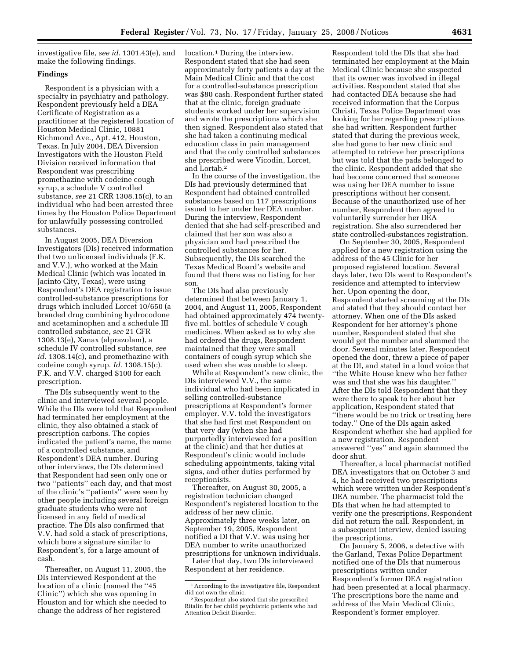investigative file, *see id.* 1301.43(e), and make the following findings.

### **Findings**

Respondent is a physician with a specialty in psychiatry and pathology. Respondent previously held a DEA Certificate of Registration as a practitioner at the registered location of Houston Medical Clinic, 10881 Richmond Ave., Apt. 412, Houston, Texas. In July 2004, DEA Diversion Investigators with the Houston Field Division received information that Respondent was prescribing promethazine with codeine cough syrup, a schedule V controlled substance, *see* 21 CRR 1308.15(c), to an individual who had been arrested three times by the Houston Police Department for unlawfully possessing controlled substances.

In August 2005, DEA Diversion Investigators (DIs) received information that two unlicensed individuals (F.K. and V.V.), who worked at the Main Medical Clinic (which was located in Jacinto City, Texas), were using Respondent's DEA registration to issue controlled-substance prescriptions for drugs which included Lorcet 10/650 (a branded drug combining hydrocodone and acetaminophen and a schedule III controlled substance, *see* 21 CFR 1308.13(e), Xanax (alprazolam), a schedule IV controlled substance, *see id.* 1308.14(c), and promethazine with codeine cough syrup. *Id.* 1308.15(c). F.K. and V.V. charged \$100 for each prescription.

The DIs subsequently went to the clinic and interviewed several people. While the DIs were told that Respondent had terminated her employment at the clinic, they also obtained a stack of prescription carbons. The copies indicated the patient's name, the name of a controlled substance, and Respondent's DEA number. During other interviews, the DIs determined that Respondent had seen only one or two ''patients'' each day, and that most of the clinic's ''patients'' were seen by other people including several foreign graduate students who were not licensed in any field of medical practice. The DIs also confirmed that V.V. had sold a stack of prescriptions, which bore a signature similar to Respondent's, for a large amount of cash.

Thereafter, on August 11, 2005, the DIs interviewed Respondent at the location of a clinic (named the ''45 Clinic'') which she was opening in Houston and for which she needed to change the address of her registered

location.1 During the interview, Respondent stated that she had seen approximately forty patients a day at the Main Medical Clinic and that the cost for a controlled-substance prescription was \$80 cash. Respondent further stated that at the clinic, foreign graduate students worked under her supervision and wrote the prescriptions which she then signed. Respondent also stated that she had taken a continuing medical education class in pain management and that the only controlled substances she prescribed were Vicodin, Lorcet, and Lortab.2

In the course of the investigation, the DIs had previously determined that Respondent had obtained controlled substances based on 117 prescriptions issued to her under her DEA number. During the interview, Respondent denied that she had self-prescribed and claimed that her son was also a physician and had prescribed the controlled substances for her. Subsequently, the DIs searched the Texas Medical Board's website and found that there was no listing for her son.

The DIs had also previously determined that between January 1, 2004, and August 11, 2005, Respondent had obtained approximately 474 twentyfive ml. bottles of schedule V cough medicines. When asked as to why she had ordered the drugs, Respondent maintained that they were small containers of cough syrup which she used when she was unable to sleep.

While at Respondent's new clinic, the DIs interviewed V.V., the same individual who had been implicated in selling controlled-substance prescriptions at Respondent's former employer. V.V. told the investigators that she had first met Respondent on that very day (when she had purportedly interviewed for a position at the clinic) and that her duties at Respondent's clinic would include scheduling appointments, taking vital signs, and other duties performed by receptionists.

Thereafter, on August 30, 2005, a registration technician changed Respondent's registered location to the address of her new clinic. Approximately three weeks later, on September 19, 2005, Respondent notified a DI that V.V. was using her DEA number to write unauthorized prescriptions for unknown individuals.

Later that day, two DIs interviewed Respondent at her residence.

Respondent told the DIs that she had terminated her employment at the Main Medical Clinic because she suspected that its owner was involved in illegal activities. Respondent stated that she had contacted DEA because she had received information that the Corpus Christi, Texas Police Department was looking for her regarding prescriptions she had written. Respondent further stated that during the previous week, she had gone to her new clinic and attempted to retrieve her prescriptions but was told that the pads belonged to the clinic. Respondent added that she had become concerned that someone was using her DEA number to issue prescriptions without her consent. Because of the unauthorized use of her number, Respondent then agreed to voluntarily surrender her DEA registration. She also surrendered her state controlled-substances registration.

On September 30, 2005, Respondent applied for a new registration using the address of the 45 Clinic for her proposed registered location. Several days later, two DIs went to Respondent's residence and attempted to interview her. Upon opening the door, Respondent started screaming at the DIs and stated that they should contact her attorney. When one of the DIs asked Respondent for her attorney's phone number, Respondent stated that she would get the number and slammed the door. Several minutes later, Respondent opened the door, threw a piece of paper at the DI, and stated in a loud voice that ''the White House knew who her father was and that she was his daughter.'' After the DIs told Respondent that they were there to speak to her about her application, Respondent stated that ''there would be no trick or treating here today.'' One of the DIs again asked Respondent whether she had applied for a new registration. Respondent answered ''yes'' and again slammed the door shut.

Thereafter, a local pharmacist notified DEA investigators that on October 3 and 4, he had received two prescriptions which were written under Respondent's DEA number. The pharmacist told the DIs that when he had attempted to verify one the prescriptions, Respondent did not return the call. Respondent, in a subsequent interview, denied issuing the prescriptions.

On January 5, 2006, a detective with the Garland, Texas Police Department notified one of the DIs that numerous prescriptions written under Respondent's former DEA registration had been presented at a local pharmacy. The prescriptions bore the name and address of the Main Medical Clinic, Respondent's former employer.

<sup>&</sup>lt;sup>1</sup> According to the investigative file, Respondent did not own the clinic.

<sup>&</sup>lt;sup>2</sup> Respondent also stated that she prescribed Ritalin for her child psychiatric patients who had Attention Deficit Disorder.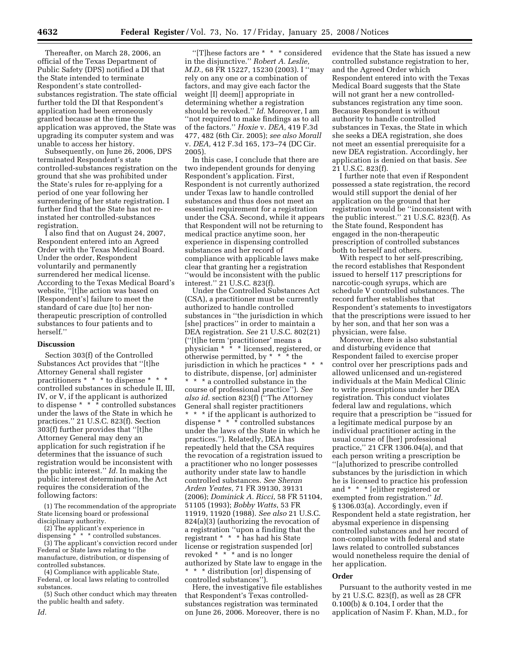Thereafter, on March 28, 2006, an official of the Texas Department of Public Safety (DPS) notified a DI that the State intended to terminate Respondent's state controlledsubstances registration. The state official further told the DI that Respondent's application had been erroneously granted because at the time the application was approved, the State was upgrading its computer system and was unable to access her history.

Subsequently, on June 26, 2006, DPS terminated Respondent's state controlled-substances registration on the ground that she was prohibited under the State's rules for re-applying for a period of one year following her surrendering of her state registration. I further find that the State has not reinstated her controlled-substances registration.

I also find that on August 24, 2007, Respondent entered into an Agreed Order with the Texas Medical Board. Under the order, Respondent voluntarily and permanently surrendered her medical license. According to the Texas Medical Board's website, ''[t]he action was based on [Respondent's] failure to meet the standard of care due [to] her nontherapeutic prescription of controlled substances to four patients and to herself.''

### **Discussion**

Section 303(f) of the Controlled Substances Act provides that ''[t]he Attorney General shall register practitioners \* \* \* to dispense \* \* \* controlled substances in schedule II, III, IV, or V, if the applicant is authorized to dispense  $* * * \circ$  controlled substances under the laws of the State in which he practices.'' 21 U.S.C. 823(f). Section 303(f) further provides that ''[t]he Attorney General may deny an application for such registration if he determines that the issuance of such registration would be inconsistent with the public interest.'' *Id.* In making the public interest determination, the Act requires the consideration of the following factors:

(1) The recommendation of the appropriate State licensing board or professional disciplinary authority.

(2) The applicant's experience in dispensing \* \* \* controlled substances.

(3) The applicant's conviction record under Federal or State laws relating to the manufacture, distribution, or dispensing of controlled substances.

(4) Compliance with applicable State, Federal, or local laws relating to controlled substances.

(5) Such other conduct which may threaten the public health and safety.

''[T]hese factors are \* \* \* considered in the disjunctive.'' *Robert A. Leslie, M.D.,* 68 FR 15227, 15230 (2003). I ''may rely on any one or a combination of factors, and may give each factor the weight [I] deem[] appropriate in determining whether a registration should be revoked.'' *Id.* Moreover, I am ''not required to make findings as to all of the factors.'' *Hoxie* v. *DEA,* 419 F.3d 477, 482 (6th Cir. 2005); *see also Morall*  v. *DEA,* 412 F.3d 165, 173–74 (DC Cir. 2005).

In this case, I conclude that there are two independent grounds for denying Respondent's application. First, Respondent is not currently authorized under Texas law to handle controlled substances and thus does not meet an essential requirement for a registration under the CSA. Second, while it appears that Respondent will not be returning to medical practice anytime soon, her experience in dispensing controlled substances and her record of compliance with applicable laws make clear that granting her a registration ''would be inconsistent with the public interest.'' 21 U.S.C. 823(f).

Under the Controlled Substances Act (CSA), a practitioner must be currently authorized to handle controlled substances in ''the jurisdiction in which [she] practices" in order to maintain a DEA registration. *See* 21 U.S.C. 802(21) (''[t]he term 'practitioner' means a physician \* \* \* licensed, registered, or otherwise permitted, by \* \* \* the jurisdiction in which he practices \* \* \* to distribute, dispense, [or] administer \* \* \* a controlled substance in the course of professional practice''). *See also id.* section 823(f) (''The Attorney General shall register practitioners \* \* \* if the applicant is authorized to dispense \* \* \* controlled substances under the laws of the State in which he practices.''). Relatedly, DEA has repeatedly held that the CSA requires the revocation of a registration issued to a practitioner who no longer possesses authority under state law to handle controlled substances. *See Sheran Arden Yeates*, 71 FR 39130, 39131 (2006); *Dominick A. Ricci*, 58 FR 51104, 51105 (1993); *Bobby Watts*, 53 FR 11919, 11920 (1988). *See also* 21 U.S.C. 824(a)(3) (authorizing the revocation of a registration ''upon a finding that the registrant \* \* \* has had his State license or registration suspended [or] revoked \* \* \* and is no longer authorized by State law to engage in the \* \* \* distribution [or] dispensing of controlled substances'').

Here, the investigative file establishes that Respondent's Texas controlledsubstances registration was terminated on June 26, 2006. Moreover, there is no

evidence that the State has issued a new controlled substance registration to her, and the Agreed Order which Respondent entered into with the Texas Medical Board suggests that the State will not grant her a new controlledsubstances registration any time soon. Because Respondent is without authority to handle controlled substances in Texas, the State in which she seeks a DEA registration, she does not meet an essential prerequisite for a new DEA registration. Accordingly, her application is denied on that basis. *See*  21 U.S.C. 823(f).

I further note that even if Respondent possessed a state registration, the record would still support the denial of her application on the ground that her registration would be ''inconsistent with the public interest.'' 21 U.S.C. 823(f). As the State found, Respondent has engaged in the non-therapeutic prescription of controlled substances both to herself and others.

With respect to her self-prescribing, the record establishes that Respondent issued to herself 117 prescriptions for narcotic-cough syrups, which are schedule V controlled substances. The record further establishes that Respondent's statements to investigators that the prescriptions were issued to her by her son, and that her son was a physician, were false.

Moreover, there is also substantial and disturbing evidence that Respondent failed to exercise proper control over her prescriptions pads and allowed unlicensed and un-registered individuals at the Main Medical Clinic to write prescriptions under her DEA registration. This conduct violates federal law and regulations, which require that a prescription be ''issued for a legitimate medical purpose by an individual practitioner acting in the usual course of [her] professional practice,'' 21 CFR 1306.04(a), and that each person writing a prescription be ''[a]uthorized to prescribe controlled substances by the jurisdiction in which he is licensed to practice his profession and \* \* \* [e]ither registered or exempted from registration.'' *Id.*  § 1306.03(a). Accordingly, even if Respondent held a state registration, her abysmal experience in dispensing controlled substances and her record of non-compliance with federal and state laws related to controlled substances would nonetheless require the denial of her application.

### **Order**

Pursuant to the authority vested in me by 21 U.S.C. 823(f), as well as 28 CFR 0.100(b) & 0.104, I order that the application of Nasim F. Khan, M.D., for